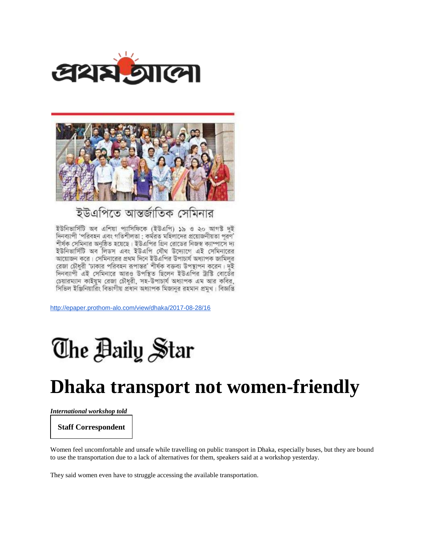



## ইউএপিতে আন্তর্জাতিক সেমিনার

ইউনিভার্সিটি অব এশিয়া প্যাসিফিকে (ইউএপি) ১৯ ও ২০ আগস্ট দুই দিনব্যাপী 'পরিবহন এবং গতিশীলতা : কর্মরত মহিলাদের প্রয়োজনীয়তা পরণ' শীর্ষক সেমিনার অনষ্ঠিত হয়েছে। ইউএপির গ্রিন রোডের নিজস্ব ক্যাম্পাসে দ্য ইউনিভার্সিটি অব লিডস এবং ইউএপি যৌথ উদ্যোগে এই সেমিনারের আয়োজন করে। সেমিনারের প্রথম দিনে ইউএপির উপাচার্য অধ্যাপক জামিলুর রেজা চৌধুরী 'ঢাকার পরিবহন রূপান্তর' শীর্ষক বক্তব্য উপস্থাপন করেন। দুই দিনব্যাপী এই সেমিনারে আরও উপস্থিত ছিলেন ইউএপির ট্রাস্টি বোর্ডের চেয়ারম্যান কাইয়ুম রেজা চৌধুরী, সহ-উপাচার্য অধ্যাপক এম আর কবির, সিভিল ইঞ্জিনিয়ারিং বিভাগীয় প্রধান অধ্যাপক মিজানুর রহমান প্রমুখ। বিজ্ঞপ্তি

<http://epaper.prothom-alo.com/view/dhaka/2017-08-28/16>

## The Baily Star

## **Dhaka transport not women-friendly**

*International workshop told*

**Staff Correspondent**

Women feel uncomfortable and unsafe while travelling on public transport in Dhaka, especially buses, but they are bound to use the transportation due to a lack of alternatives for them, speakers said at a workshop yesterday.

They said women even have to struggle accessing the available transportation.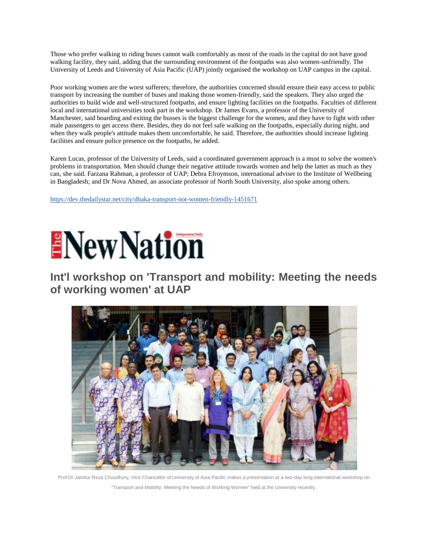Those who prefer walking to riding buses cannot walk comfortably as most of the roads in the capital do not have good walking facility, they said, adding that the surrounding environment of the footpaths was also women-unfriendly. The University of Leeds and University of Asia Pacific (UAP) jointly organised the workshop on UAP campus in the capital.

Poor working women are the worst sufferers; therefore, the authorities concerned should ensure their easy access to public transport by increasing the number of buses and making those women-friendly, said the speakers. They also urged the authorities to build wide and well-structured footpaths, and ensure lighting facilities on the footpaths. Faculties of different local and international universities took part in the workshop. Dr James Evans, a professor of the University of Manchester, said boarding and exiting the busses is the biggest challenge for the women, and they have to fight with other male passengers to get access there. Besides, they do not feel safe walking on the footpaths, especially during night, and when they walk people's attitude makes them uncomfortable, he said. Therefore, the authorities should increase lighting facilities and ensure police presence on the footpaths, he added.

Karen Lucas, professor of the University of Leeds, said a coordinated government approach is a must to solve the women's problems in transportation. Men should change their negative attitude towards women and help the latter as much as they can, she said. Farzana Rahman, a professor of UAP; Debra Efroymson, international adviser to the Institute of Wellbeing in Bangladesh; and Dr Nova Ahmed, an associate professor of North South University, also spoke among others.

<https://dev.thedailystar.net/city/dhaka-transport-not-women-friendly-1451671>



**Int'l workshop on 'Transport and mobility: Meeting the needs of working women' at UAP**



Prof Dr Jamilur Reza Choudhury, Vice Chancellor of University of Asia Pacific makes a presentation at a two-day long international workshop on "Transport and Mobility: Meeting the Needs of Working Women" held at the University recently.